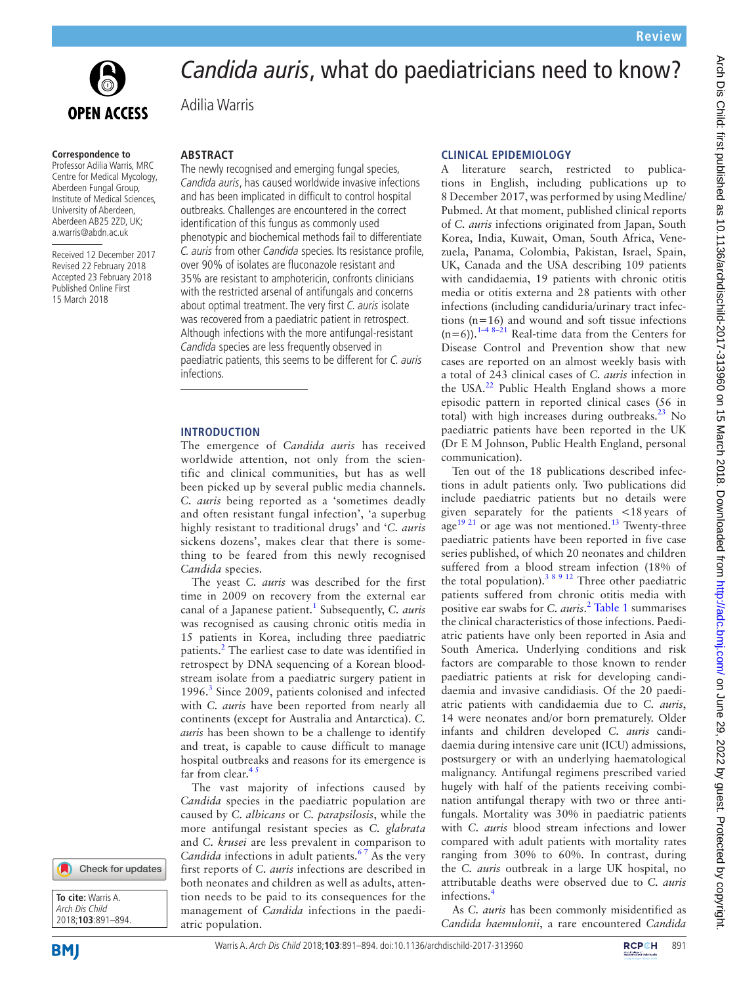

# *Candida auris*, what do paediatricians need to know?

Adilia Warris

#### **Correspondence to**

Professor Adilia Warris, MRC Centre for Medical Mycology, Aberdeen Fungal Group, Institute of Medical Sciences, University of Aberdeen, Aberdeen AB25 2ZD, UK; a.warris@abdn.ac.uk

Received 12 December 2017 Revised 22 February 2018 Accepted 23 February 2018 Published Online First 15 March 2018

## **Abstract**

The newly recognised and emerging fungal species, Candida auris, has caused worldwide invasive infections and has been implicated in difficult to control hospital outbreaks. Challenges are encountered in the correct identification of this fungus as commonly used phenotypic and biochemical methods fail to differentiate C. auris from other Candida species. Its resistance profile, over 90% of isolates are fluconazole resistant and 35% are resistant to amphotericin, confronts clinicians with the restricted arsenal of antifungals and concerns about optimal treatment. The very first C. auris isolate was recovered from a paediatric patient in retrospect. Although infections with the more antifungal-resistant Candida species are less frequently observed in paediatric patients, this seems to be different for C. auris infections.

#### **Introduction**

The emergence of *Candida auris* has received worldwide attention, not only from the scientific and clinical communities, but has as well been picked up by several public media channels. *C. auris* being reported as a 'sometimes deadly and often resistant fungal infection', 'a superbug highly resistant to traditional drugs' and '*C. auris* sickens dozens', makes clear that there is something to be feared from this newly recognised *Candida* species.

The yeast *C. auris* was described for the first time in 2009 on recovery from the external ear canal of a Japanese patient[.1](#page-3-0) Subsequently, *C. auris* was recognised as causing chronic otitis media in 15 patients in Korea, including three paediatric patients.<sup>2</sup> The earliest case to date was identified in retrospect by DNA sequencing of a Korean bloodstream isolate from a paediatric surgery patient in 1996.<sup>[3](#page-3-2)</sup> Since 2009, patients colonised and infected with *C. auris* have been reported from nearly all continents (except for Australia and Antarctica). *C. auris* has been shown to be a challenge to identify and treat, is capable to cause difficult to manage hospital outbreaks and reasons for its emergence is far from clear.<sup>45</sup>

The vast majority of infections caused by *Candida* species in the paediatric population are caused by *C. albicans* or *C. parapsilosis*, while the more antifungal resistant species as *C. glabrata* and *C. krusei* are less prevalent in comparison to *Candida* infections in adult patients.<sup>67</sup> As the very first reports of *C. auris* infections are described in both neonates and children as well as adults, attention needs to be paid to its consequences for the management of *Candida* infections in the paediatric population.

#### **Clinical epidemiology**

A literature search, restricted to publications in English, including publications up to 8 December 2017, was performed by using Medline/ Pubmed. At that moment, published clinical reports of *C. auris* infections originated from Japan, South Korea, India, Kuwait, Oman, South Africa, Venezuela, Panama, Colombia, Pakistan, Israel, Spain, UK, Canada and the USA describing 109 patients with candidaemia, 19 patients with chronic otitis media or otitis externa and 28 patients with other infections (including candiduria/urinary tract infections  $(n=16)$  and wound and soft tissue infections  $(n=6)$ ).<sup>[1–4 8–21](#page-3-0)</sup> Real-time data from the Centers for Disease Control and Prevention show that new cases are reported on an almost weekly basis with a total of 243 clinical cases of *C. auris* infection in the USA.<sup>[22](#page-3-5)</sup> Public Health England shows a more episodic pattern in reported clinical cases (56 in total) with high increases during outbreaks. $^{23}$  No paediatric patients have been reported in the UK (Dr E M Johnson, Public Health England, personal communication).

Ten out of the 18 publications described infections in adult patients only. Two publications did include paediatric patients but no details were given separately for the patients <18years of age<sup>[19 21](#page-3-7)</sup> or age was not mentioned.<sup>[13](#page-3-8)</sup> Twenty-three paediatric patients have been reported in five case series published, of which 20 neonates and children suffered from a blood stream infection (18% of the total population).<sup>38912</sup> Three other paediatric patients suffered from chronic otitis media with positive ear swabs for *C. auris*. [2](#page-3-1) [Table](#page-1-0) 1 summarises the clinical characteristics of those infections. Paediatric patients have only been reported in Asia and South America. Underlying conditions and risk factors are comparable to those known to render paediatric patients at risk for developing candidaemia and invasive candidiasis. Of the 20 paediatric patients with candidaemia due to *C. auris*, 14 were neonates and/or born prematurely. Older infants and children developed *C. auris* candidaemia during intensive care unit (ICU) admissions, postsurgery or with an underlying haematological malignancy. Antifungal regimens prescribed varied hugely with half of the patients receiving combination antifungal therapy with two or three antifungals. Mortality was 30% in paediatric patients with *C. auris* blood stream infections and lower compared with adult patients with mortality rates ranging from 30% to 60%. In contrast, during the *C. auris* outbreak in a large UK hospital, no attributable deaths were observed due to *C. auris* infections.[4](#page-3-3)

As *C. auris* has been commonly misidentified as *Candida haemulonii*, a rare encountered *Candida*



**To cite:** Warris A. Arch Dis Child 2018;**103**:891–894.

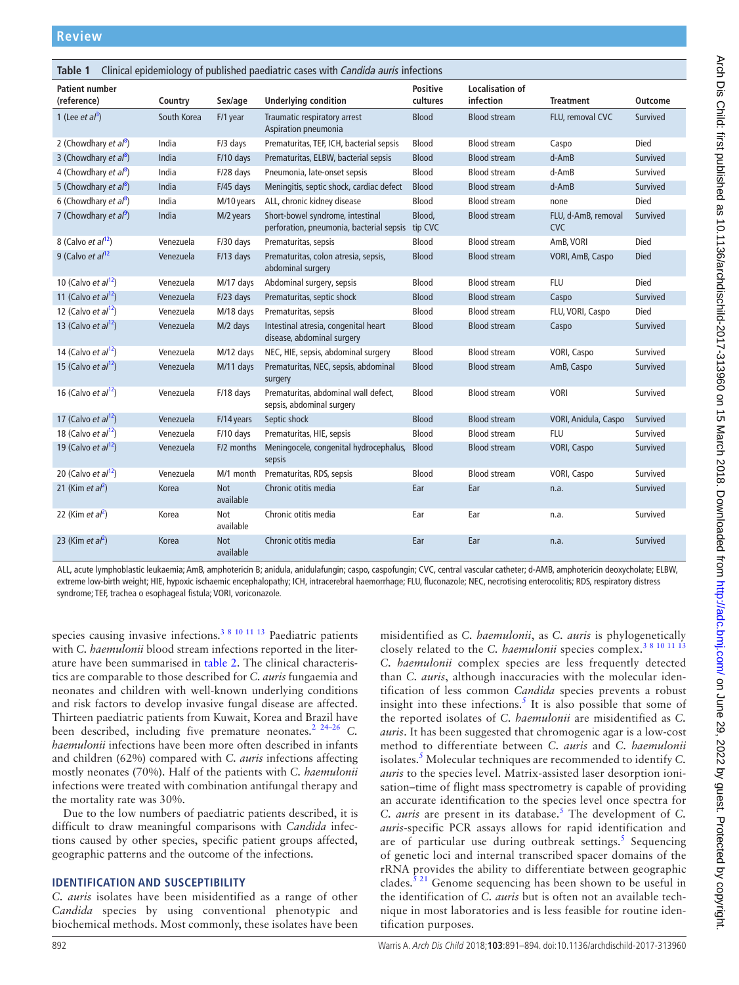<span id="page-1-0"></span>

| Clinical epidemiology of published paediatric cases with Candida auris infections<br>Table 1 |             |                         |                                                                              |                             |                                     |                                   |                |  |  |  |  |
|----------------------------------------------------------------------------------------------|-------------|-------------------------|------------------------------------------------------------------------------|-----------------------------|-------------------------------------|-----------------------------------|----------------|--|--|--|--|
| <b>Patient number</b><br>(reference)                                                         | Country     | Sex/age                 | <b>Underlying condition</b>                                                  | <b>Positive</b><br>cultures | <b>Localisation of</b><br>infection | <b>Treatment</b>                  | <b>Outcome</b> |  |  |  |  |
| 1 (Lee <i>et al</i> <sup>3</sup> )                                                           | South Korea | F/1 year                | Traumatic respiratory arrest<br>Aspiration pneumonia                         | <b>Blood</b>                | <b>Blood stream</b>                 | FLU, removal CVC                  | Survived       |  |  |  |  |
| 2 (Chowdhary et $a^{8}$ )                                                                    | India       | F/3 days                | Prematuritas, TEF, ICH, bacterial sepsis                                     | Blood                       | <b>Blood stream</b>                 | Caspo                             | <b>Died</b>    |  |  |  |  |
| 3 (Chowdhary et $a^{8}$ )                                                                    | India       | F/10 days               | Prematuritas, ELBW, bacterial sepsis                                         | <b>Blood</b>                | <b>Blood stream</b>                 | $d$ -Am $B$                       | Survived       |  |  |  |  |
| 4 (Chowdhary et $a^{8}$ )                                                                    | India       | F/28 days               | Pneumonia, late-onset sepsis                                                 | Blood                       | <b>Blood stream</b>                 | d-AmB                             | Survived       |  |  |  |  |
| 5 (Chowdhary et $a^{8}$ )                                                                    | India       | $F/45$ days             | Meningitis, septic shock, cardiac defect                                     | <b>Blood</b>                | <b>Blood stream</b>                 | $d$ -Am $B$                       | Survived       |  |  |  |  |
| 6 (Chowdhary et $a^{8}$ )                                                                    | India       | M/10 years              | ALL, chronic kidney disease                                                  | Blood                       | <b>Blood stream</b>                 | none                              | Died           |  |  |  |  |
| 7 (Chowdhary et $a^{9}$ )                                                                    | India       | M/2 years               | Short-bowel syndrome, intestinal<br>perforation, pneumonia, bacterial sepsis | Blood,<br>tip CVC           | <b>Blood stream</b>                 | FLU, d-AmB, removal<br><b>CVC</b> | Survived       |  |  |  |  |
| 8 (Calvo et $al^{12}$ )                                                                      | Venezuela   | F/30 days               | Prematuritas, sepsis                                                         | Blood                       | <b>Blood stream</b>                 | AmB, VORI                         | Died           |  |  |  |  |
| 9 (Calvo et $al^{12}$                                                                        | Venezuela   | F/13 days               | Prematuritas, colon atresia, sepsis,<br>abdominal surgery                    | <b>Blood</b>                | <b>Blood stream</b>                 | VORI, AmB, Caspo                  | <b>Died</b>    |  |  |  |  |
| 10 (Calvo et $al^{12}$ )                                                                     | Venezuela   | M/17 days               | Abdominal surgery, sepsis                                                    | <b>Blood</b>                | <b>Blood stream</b>                 | <b>FLU</b>                        | Died           |  |  |  |  |
| 11 (Calvo <i>et al</i> <sup>12</sup> )                                                       | Venezuela   | F/23 days               | Prematuritas, septic shock                                                   | <b>Blood</b>                | <b>Blood stream</b>                 | Caspo                             | Survived       |  |  |  |  |
| 12 (Calvo et $al12$ )                                                                        | Venezuela   | M/18 days               | Prematuritas, sepsis                                                         | <b>Blood</b>                | <b>Blood stream</b>                 | FLU, VORI, Caspo                  | Died           |  |  |  |  |
| 13 (Calvo et $al12$ )                                                                        | Venezuela   | M/2 days                | Intestinal atresia, congenital heart<br>disease, abdominal surgery           | <b>Blood</b>                | <b>Blood stream</b>                 | Caspo                             | Survived       |  |  |  |  |
| 14 (Calvo et $al^{12}$ )                                                                     | Venezuela   | M/12 days               | NEC, HIE, sepsis, abdominal surgery                                          | Blood                       | <b>Blood stream</b>                 | VORI, Caspo                       | Survived       |  |  |  |  |
| 15 (Calvo et $al^{12}$ )                                                                     | Venezuela   | M/11 days               | Prematuritas, NEC, sepsis, abdominal<br>surgery                              | <b>Blood</b>                | <b>Blood stream</b>                 | AmB, Caspo                        | Survived       |  |  |  |  |
| 16 (Calvo et $al12$ )                                                                        | Venezuela   | F/18 days               | Prematuritas, abdominal wall defect,<br>sepsis, abdominal surgery            | Blood                       | <b>Blood stream</b>                 | <b>VORI</b>                       | Survived       |  |  |  |  |
| 17 (Calvo et $al12$ )                                                                        | Venezuela   | F/14 years              | Septic shock                                                                 | <b>Blood</b>                | <b>Blood stream</b>                 | VORI, Anidula, Caspo              | Survived       |  |  |  |  |
| 18 (Calvo et $al12$ )                                                                        | Venezuela   | F/10 days               | Prematuritas, HIE, sepsis                                                    | <b>Blood</b>                | <b>Blood stream</b>                 | <b>FLU</b>                        | Survived       |  |  |  |  |
| 19 (Calvo <i>et al</i> <sup>12</sup> )                                                       | Venezuela   | F/2 months              | Meningocele, congenital hydrocephalus,<br>sepsis                             | <b>Blood</b>                | <b>Blood stream</b>                 | <b>VORI, Caspo</b>                | Survived       |  |  |  |  |
| 20 (Calvo et $al12$ )                                                                        | Venezuela   | M/1 month               | Prematuritas, RDS, sepsis                                                    | Blood                       | <b>Blood stream</b>                 | VORI, Caspo                       | Survived       |  |  |  |  |
| 21 (Kim et al <sup>2</sup> )                                                                 | Korea       | <b>Not</b><br>available | Chronic otitis media                                                         | Ear                         | Ear                                 | n.a.                              | Survived       |  |  |  |  |
| 22 (Kim et $al^2$ )                                                                          | Korea       | Not<br>available        | Chronic otitis media                                                         | Ear                         | Ear                                 | n.a.                              | Survived       |  |  |  |  |
| 23 (Kim et $al^2$ )                                                                          | Korea       | <b>Not</b><br>available | Chronic otitis media                                                         | Ear                         | Ear                                 | n.a.                              | Survived       |  |  |  |  |

ALL, acute lymphoblastic leukaemia; AmB, amphotericin B; anidula, anidulafungin; caspo, caspofungin; CVC, central vascular catheter; d-AMB, amphotericin deoxycholate; ELBW, extreme low-birth weight; HIE, hypoxic ischaemic encephalopathy; ICH, intracerebral haemorrhage; FLU, fluconazole; NEC, necrotising enterocolitis; RDS, respiratory distress syndrome; TEF, trachea o esophageal fistula; VORI, voriconazole.

species causing invasive infections.<sup>3 8 10 11 13</sup> Paediatric patients with *C. haemulonii* blood stream infections reported in the literature have been summarised in [table](#page-2-0) 2. The clinical characteristics are comparable to those described for *C. auris* fungaemia and neonates and children with well-known underlying conditions and risk factors to develop invasive fungal disease are affected. Thirteen paediatric patients from Kuwait, Korea and Brazil have been described, including five premature neonates.<sup>2</sup> <sup>24–26</sup> *C*. *haemulonii* infections have been more often described in infants and children (62%) compared with *C. auris* infections affecting mostly neonates (70%). Half of the patients with *C. haemulonii* infections were treated with combination antifungal therapy and the mortality rate was 30%.

Due to the low numbers of paediatric patients described, it is difficult to draw meaningful comparisons with *Candida* infections caused by other species, specific patient groups affected, geographic patterns and the outcome of the infections.

## **Identification and susceptibility**

*C. auris* isolates have been misidentified as a range of other *Candida* species by using conventional phenotypic and biochemical methods. Most commonly, these isolates have been

misidentified as *C. haemulonii*, as *C. auris* is phylogenetically closely related to the *C. haemulonii* species complex.<sup>[3 8 10 11 13](#page-3-2)</sup> *C. haemulonii* complex species are less frequently detected than *C. auris*, although inaccuracies with the molecular identification of less common *Candida* species prevents a robust insight into these infections.<sup>[5](#page-3-9)</sup> It is also possible that some of the reported isolates of *C. haemulonii* are misidentified as *C. auris*. It has been suggested that chromogenic agar is a low-cost method to differentiate between *C. auris* and *C. haemulonii* isolates.<sup>[5](#page-3-9)</sup> Molecular techniques are recommended to identify *C*. *auris* to the species level. Matrix-assisted laser desorption ionisation–time of flight mass spectrometry is capable of providing an accurate identification to the species level once spectra for *C. auris* are present in its database.[5](#page-3-9) The development of *C. auris-*specific PCR assays allows for rapid identification and are of particular use during outbreak settings.<sup>[5](#page-3-9)</sup> Sequencing of genetic loci and internal transcribed spacer domains of the rRNA provides the ability to differentiate between geographic clades.<sup>[5 21](#page-3-9)</sup> Genome sequencing has been shown to be useful in the identification of *C. auris* but is often not an available technique in most laboratories and is less feasible for routine identification purposes.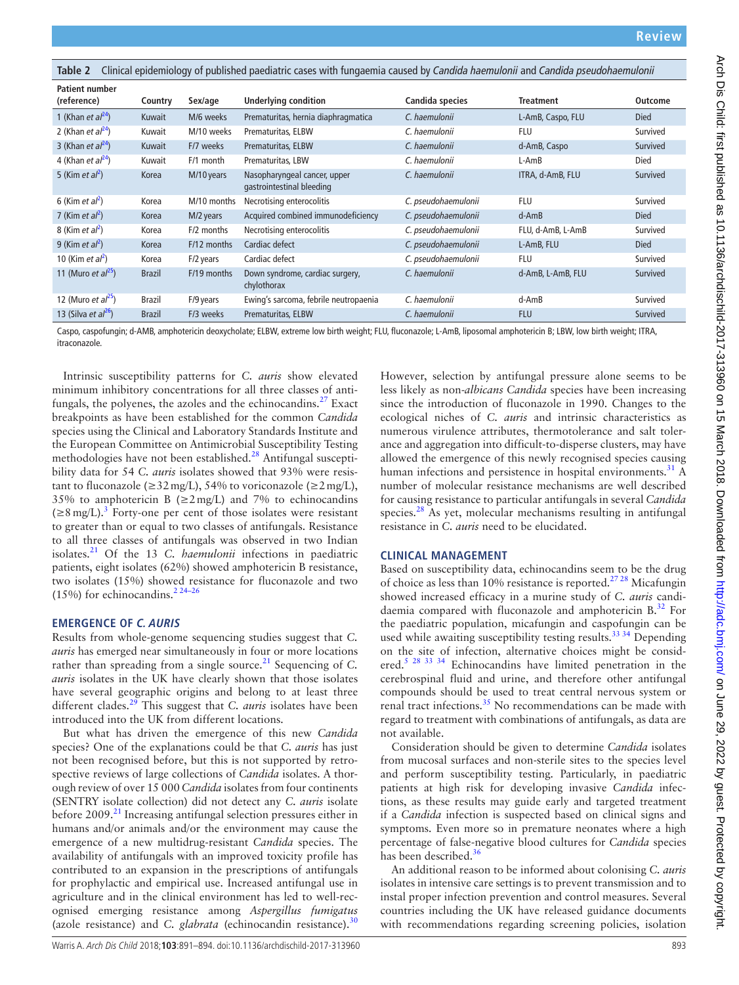<span id="page-2-0"></span>

| Clinical epidemiology of published paediatric cases with fungaemia caused by Candida haemulonii and Candida pseudohaemulonii<br>Table 2 |               |             |                                                           |                     |                   |                |  |  |  |  |  |
|-----------------------------------------------------------------------------------------------------------------------------------------|---------------|-------------|-----------------------------------------------------------|---------------------|-------------------|----------------|--|--|--|--|--|
| <b>Patient number</b>                                                                                                                   |               |             |                                                           |                     |                   |                |  |  |  |  |  |
| (reference)                                                                                                                             | Country       | Sex/age     | <b>Underlying condition</b>                               | Candida species     | <b>Treatment</b>  | <b>Outcome</b> |  |  |  |  |  |
| 1 (Khan et $al^{24}$ )                                                                                                                  | Kuwait        | M/6 weeks   | Prematuritas, hernia diaphragmatica                       | C. haemulonii       | L-AmB, Caspo, FLU | <b>Died</b>    |  |  |  |  |  |
| 2 (Khan et $al^{24}$ )                                                                                                                  | Kuwait        | M/10 weeks  | Prematuritas, ELBW                                        | C. haemulonii       | <b>FLU</b>        | Survived       |  |  |  |  |  |
| 3 (Khan <i>et al</i> <sup>24</sup> )                                                                                                    | Kuwait        | F/7 weeks   | Prematuritas, ELBW                                        | C. haemulonii       | d-AmB, Caspo      | Survived       |  |  |  |  |  |
| 4 (Khan et $al^{24}$ )                                                                                                                  | Kuwait        | F/1 month   | Prematuritas, LBW                                         | C. haemulonii       | $L-AmB$           | <b>Died</b>    |  |  |  |  |  |
| 5 (Kim et $al^2$ )                                                                                                                      | Korea         | M/10 years  | Nasopharyngeal cancer, upper<br>gastrointestinal bleeding | C. haemulonii       | ITRA, d-AmB, FLU  | Survived       |  |  |  |  |  |
| 6 (Kim et $al^2$ )                                                                                                                      | Korea         | M/10 months | Necrotising enterocolitis                                 | C. pseudohaemulonii | <b>FLU</b>        | Survived       |  |  |  |  |  |
| 7 (Kim et $al^2$ )                                                                                                                      | Korea         | M/2 years   | Acquired combined immunodeficiency                        | C. pseudohaemulonii | $d$ -Am $B$       | <b>Died</b>    |  |  |  |  |  |
| 8 (Kim et $al^2$ )                                                                                                                      | Korea         | F/2 months  | Necrotising enterocolitis                                 | C. pseudohaemulonii | FLU, d-AmB, L-AmB | Survived       |  |  |  |  |  |
| 9 (Kim et $al^2$ )                                                                                                                      | Korea         | F/12 months | Cardiac defect                                            | C. pseudohaemulonii | L-AmB, FLU        | <b>Died</b>    |  |  |  |  |  |
| 10 (Kim et al <sup>2</sup> )                                                                                                            | Korea         | F/2 years   | Cardiac defect                                            | C. pseudohaemulonii | <b>FLU</b>        | Survived       |  |  |  |  |  |
| 11 (Muro <i>et al</i> <sup>25</sup> )                                                                                                   | <b>Brazil</b> | F/19 months | Down syndrome, cardiac surgery,<br>chylothorax            | C. haemulonii       | d-AmB, L-AmB, FLU | Survived       |  |  |  |  |  |
| 12 (Muro et $al^{25}$ )                                                                                                                 | Brazil        | F/9 years   | Ewing's sarcoma, febrile neutropaenia                     | C. haemulonii       | d-AmB             | Survived       |  |  |  |  |  |
| 13 (Silva et $al^{26}$ )                                                                                                                | <b>Brazil</b> | F/3 weeks   | Prematuritas, ELBW                                        | C. haemulonii       | <b>FLU</b>        | Survived       |  |  |  |  |  |

Caspo, caspofungin; d-AMB, amphotericin deoxycholate; ELBW, extreme low birth weight; FLU, fluconazole; L-AmB, liposomal amphotericin B; LBW, low birth weight; ITRA, itraconazole.

Intrinsic susceptibility patterns for *C. auris* show elevated minimum inhibitory concentrations for all three classes of antifungals, the polyenes, the azoles and the echinocandins. $27$  Exact breakpoints as have been established for the common *Candida* species using the Clinical and Laboratory Standards Institute and the European Committee on Antimicrobial Susceptibility Testing methodologies have not been established.<sup>[28](#page-3-14)</sup> Antifungal susceptibility data for 54 *C. auris* isolates showed that 93% were resistant to fluconazole ( $\geq$ 32 mg/L), 54% to voriconazole ( $\geq$ 2 mg/L), 35% to amphotericin B ( $\geq 2$  mg/L) and 7% to echinocandins  $(\geq 8 \text{ mg/L})$ .<sup>[3](#page-3-2)</sup> Forty-one per cent of those isolates were resistant to greater than or equal to two classes of antifungals. Resistance to all three classes of antifungals was observed in two Indian isolates.[21](#page-3-15) Of the 13 *C. haemulonii* infections in paediatric patients, eight isolates (62%) showed amphotericin B resistance, two isolates (15%) showed resistance for fluconazole and two (15%) for echinocandins.<sup>[2 24–26](#page-3-1)</sup>

## **Emergence of C. auris**

Results from whole-genome sequencing studies suggest that *C. auris* has emerged near simultaneously in four or more locations rather than spreading from a single source.<sup>[21](#page-3-15)</sup> Sequencing of *C*. *auris* isolates in the UK have clearly shown that those isolates have several geographic origins and belong to at least three different clades.[29](#page-3-16) This suggest that *C. auris* isolates have been introduced into the UK from different locations.

But what has driven the emergence of this new *Candida* species? One of the explanations could be that *C. auris* has just not been recognised before, but this is not supported by retrospective reviews of large collections of *Candida* isolates. A thorough review of over 15 000 *Candida* isolates from four continents (SENTRY isolate collection) did not detect any *C. auris* isolate before 2009.<sup>[21](#page-3-15)</sup> Increasing antifungal selection pressures either in humans and/or animals and/or the environment may cause the emergence of a new multidrug-resistant *Candida* species. The availability of antifungals with an improved toxicity profile has contributed to an expansion in the prescriptions of antifungals for prophylactic and empirical use. Increased antifungal use in agriculture and in the clinical environment has led to well-recognised emerging resistance among *Aspergillus fumigatus* (azole resistance) and *C. glabrata* (echinocandin resistance).<sup>[30](#page-3-17)</sup>

However, selection by antifungal pressure alone seems to be less likely as non-*albicans Candida* species have been increasing since the introduction of fluconazole in 1990. Changes to the ecological niches of *C. auris* and intrinsic characteristics as numerous virulence attributes, thermotolerance and salt tolerance and aggregation into difficult-to-disperse clusters, may have allowed the emergence of this newly recognised species causing human infections and persistence in hospital environments. $31$  A number of molecular resistance mechanisms are well described for causing resistance to particular antifungals in several *Candida* species. $28$  As yet, molecular mechanisms resulting in antifungal resistance in *C. auris* need to be elucidated.

## **Clinical management**

Based on susceptibility data, echinocandins seem to be the drug of choice as less than 10% resistance is reported.[27 28](#page-3-13) Micafungin showed increased efficacy in a murine study of *C. auris* candidaemia compared with fluconazole and amphotericin  $B^{32}$  $B^{32}$  $B^{32}$ . For the paediatric population, micafungin and caspofungin can be used while awaiting susceptibility testing results.<sup>33 34</sup> Depending on the site of infection, alternative choices might be considered.<sup>5</sup> <sup>28 33 34</sup> Echinocandins have limited penetration in the cerebrospinal fluid and urine, and therefore other antifungal compounds should be used to treat central nervous system or renal tract infections.<sup>35</sup> No recommendations can be made with regard to treatment with combinations of antifungals, as data are not available.

Consideration should be given to determine *Candida* isolates from mucosal surfaces and non-sterile sites to the species level and perform susceptibility testing. Particularly, in paediatric patients at high risk for developing invasive *Candida* infections, as these results may guide early and targeted treatment if a *Candida* infection is suspected based on clinical signs and symptoms. Even more so in premature neonates where a high percentage of false-negative blood cultures for *Candida* species has been described.<sup>36</sup>

An additional reason to be informed about colonising *C. auris* isolates in intensive care settings is to prevent transmission and to instal proper infection prevention and control measures. Several countries including the UK have released guidance documents with recommendations regarding screening policies, isolation